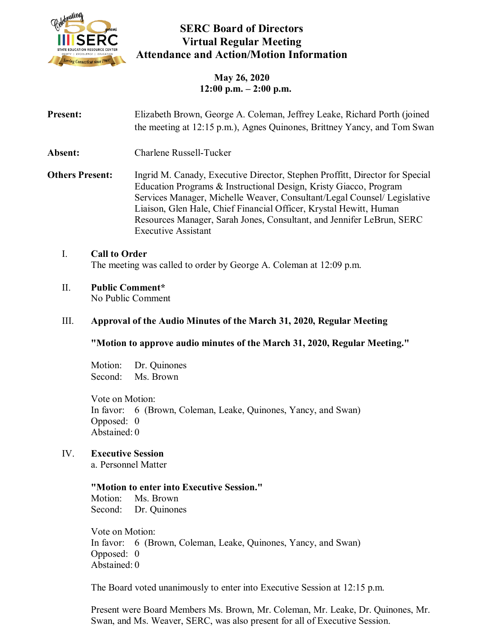

# **SERC Board of Directors Virtual Regular Meeting Attendance and Action/Motion Information**

**May 26, 2020 12:00 p.m. – 2:00 p.m.**

| <b>Present:</b>        | Elizabeth Brown, George A. Coleman, Jeffrey Leake, Richard Porth (joined<br>the meeting at 12:15 p.m.), Agnes Quinones, Brittney Yancy, and Tom Swan                                                                                                                                                                                                                                                       |
|------------------------|------------------------------------------------------------------------------------------------------------------------------------------------------------------------------------------------------------------------------------------------------------------------------------------------------------------------------------------------------------------------------------------------------------|
| <b>Absent:</b>         | Charlene Russell-Tucker                                                                                                                                                                                                                                                                                                                                                                                    |
| <b>Others Present:</b> | Ingrid M. Canady, Executive Director, Stephen Proffitt, Director for Special<br>Education Programs & Instructional Design, Kristy Giacco, Program<br>Services Manager, Michelle Weaver, Consultant/Legal Counsel/ Legislative<br>Liaison, Glen Hale, Chief Financial Officer, Krystal Hewitt, Human<br>Resources Manager, Sarah Jones, Consultant, and Jennifer LeBrun, SERC<br><b>Executive Assistant</b> |

### I. **Call to Order** The meeting was called to order by George A. Coleman at 12:09 p.m.

### II. **Public Comment\***

No Public Comment

## III. **Approval of the Audio Minutes of the March 31, 2020, Regular Meeting**

### **"Motion to approve audio minutes of the March 31, 2020, Regular Meeting."**

Motion: Dr. Quinones Second: Ms. Brown

Vote on Motion: In favor: 6 (Brown, Coleman, Leake, Quinones, Yancy, and Swan) Opposed: 0 Abstained: 0

## IV. **Executive Session**

a. Personnel Matter

### **"Motion to enter into Executive Session."**

Motion: Ms. Brown Second: Dr. Quinones

Vote on Motion: In favor: 6 (Brown, Coleman, Leake, Quinones, Yancy, and Swan) Opposed: 0 Abstained: 0

The Board voted unanimously to enter into Executive Session at 12:15 p.m.

Present were Board Members Ms. Brown, Mr. Coleman, Mr. Leake, Dr. Quinones, Mr. Swan, and Ms. Weaver, SERC, was also present for all of Executive Session.